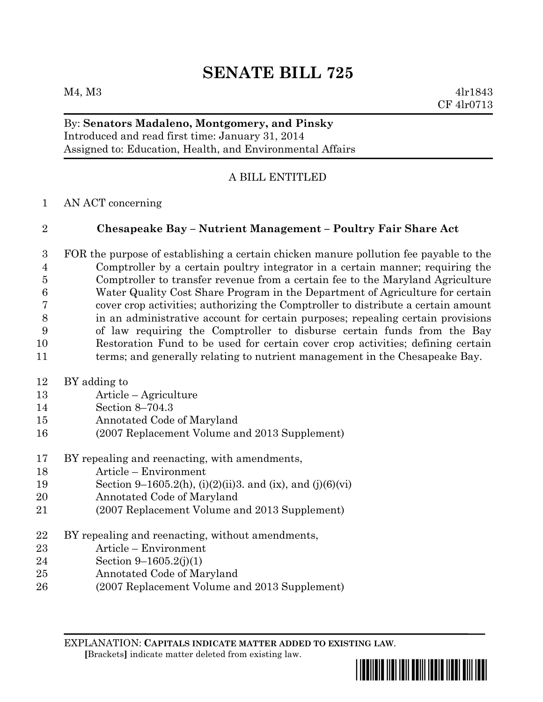### By: **Senators Madaleno, Montgomery, and Pinsky** Introduced and read first time: January 31, 2014 Assigned to: Education, Health, and Environmental Affairs

# A BILL ENTITLED

AN ACT concerning

## **Chesapeake Bay – Nutrient Management – Poultry Fair Share Act**

 FOR the purpose of establishing a certain chicken manure pollution fee payable to the Comptroller by a certain poultry integrator in a certain manner; requiring the Comptroller to transfer revenue from a certain fee to the Maryland Agriculture Water Quality Cost Share Program in the Department of Agriculture for certain cover crop activities; authorizing the Comptroller to distribute a certain amount in an administrative account for certain purposes; repealing certain provisions of law requiring the Comptroller to disburse certain funds from the Bay Restoration Fund to be used for certain cover crop activities; defining certain terms; and generally relating to nutrient management in the Chesapeake Bay.

- BY adding to
- Article Agriculture
- Section 8–704.3
- Annotated Code of Maryland
- (2007 Replacement Volume and 2013 Supplement)
- BY repealing and reenacting, with amendments,
- Article Environment
- 19 Section 9–1605.2(h), (i)(2)(ii)3. and (ix), and (j)(6)(vi)
- Annotated Code of Maryland
- (2007 Replacement Volume and 2013 Supplement)
- BY repealing and reenacting, without amendments,
- Article Environment
- Section 9–1605.2(j)(1)
- Annotated Code of Maryland
- (2007 Replacement Volume and 2013 Supplement)

EXPLANATION: **CAPITALS INDICATE MATTER ADDED TO EXISTING LAW**.  **[**Brackets**]** indicate matter deleted from existing law.

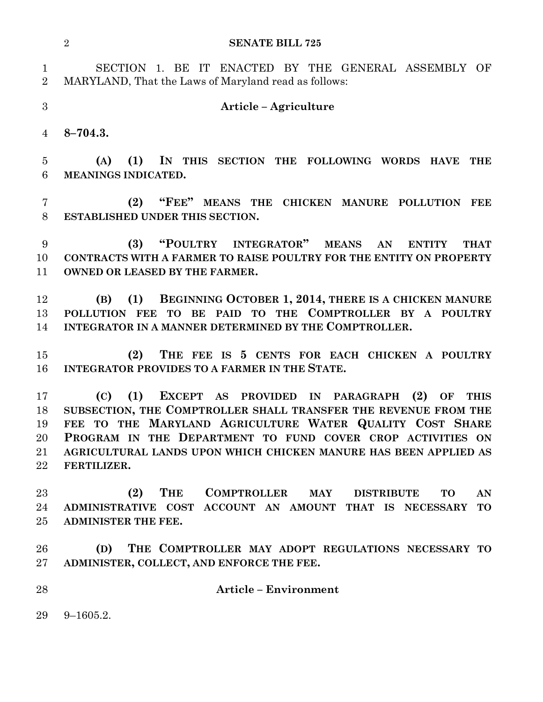|                               | <b>SENATE BILL 725</b><br>$\overline{2}$                                                                    |
|-------------------------------|-------------------------------------------------------------------------------------------------------------|
| $\mathbf 1$<br>$\overline{2}$ | SECTION 1. BE IT ENACTED BY THE GENERAL ASSEMBLY OF<br>MARYLAND, That the Laws of Maryland read as follows: |
| 3                             | Article - Agriculture                                                                                       |
| 4                             | $8 - 704.3.$                                                                                                |
| $\overline{5}$                | (1) IN THIS SECTION THE FOLLOWING WORDS HAVE<br>(A)<br><b>THE</b>                                           |
| 6                             | MEANINGS INDICATED.                                                                                         |
| 7<br>$8\,$                    | "FEE" MEANS THE CHICKEN MANURE POLLUTION<br>(2)<br><b>FEE</b><br>ESTABLISHED UNDER THIS SECTION.            |
| 9                             | "POULTRY INTEGRATOR" MEANS<br>(3)<br>AN<br><b>ENTITY</b><br><b>THAT</b>                                     |
| 10                            | CONTRACTS WITH A FARMER TO RAISE POULTRY FOR THE ENTITY ON PROPERTY                                         |
| 11                            | <b>OWNED OR LEASED BY THE FARMER.</b>                                                                       |
| 12                            | (1) BEGINNING OCTOBER 1, 2014, THERE IS A CHICKEN MANURE<br>(B)                                             |
| 13                            | POLLUTION FEE TO BE PAID TO THE COMPTROLLER BY A POULTRY                                                    |
| 14                            | INTEGRATOR IN A MANNER DETERMINED BY THE COMPTROLLER.                                                       |
| 15                            | THE FEE IS 5 CENTS FOR EACH CHICKEN A POULTRY<br>(2)                                                        |
| 16                            | <b>INTEGRATOR PROVIDES TO A FARMER IN THE STATE.</b>                                                        |
| 17                            | (1)<br>EXCEPT AS PROVIDED IN PARAGRAPH<br>(C)<br>(2)<br><b>THIS</b><br>OF                                   |
| 18                            | SUBSECTION, THE COMPTROLLER SHALL TRANSFER THE REVENUE FROM THE                                             |
| 19                            | FEE TO THE MARYLAND AGRICULTURE WATER QUALITY COST SHARE                                                    |
| 20                            | PROGRAM IN THE DEPARTMENT TO FUND COVER CROP ACTIVITIES ON                                                  |
| 21                            | AGRICULTURAL LANDS UPON WHICH CHICKEN MANURE HAS BEEN APPLIED AS                                            |
| 22                            | FERTILIZER.                                                                                                 |
| 23                            | THE<br><b>COMPTROLLER</b><br>(2)<br>$\mathbf{MAY}$<br><b>DISTRIBUTE</b><br><b>TO</b><br>AN                  |
| 24                            | ADMINISTRATIVE COST ACCOUNT AN AMOUNT THAT IS NECESSARY<br><b>TO</b>                                        |
| 25                            | <b>ADMINISTER THE FEE.</b>                                                                                  |
| 26                            | THE COMPTROLLER MAY ADOPT REGULATIONS NECESSARY TO<br>(D)                                                   |
| $27\,$                        | ADMINISTER, COLLECT, AND ENFORCE THE FEE.                                                                   |
| 28                            | <b>Article - Environment</b>                                                                                |
| 29                            | $9 - 1605.2.$                                                                                               |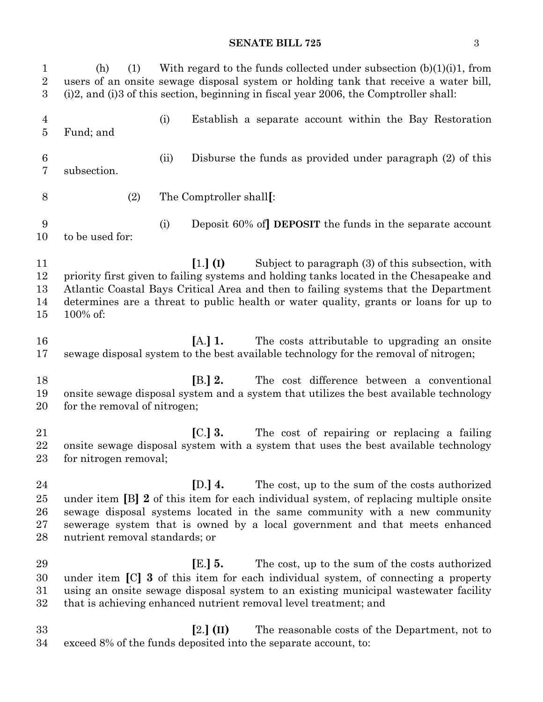| ۰.     |               |
|--------|---------------|
| ×      | I             |
|        |               |
| ×<br>w | ۰.<br>۰,<br>٧ |

| $\mathbf{1}$<br>$\overline{2}$<br>3 | (1)<br>(h)                                                                                                                                                                                                                                                                                                                                               |      | With regard to the funds collected under subsection $(b)(1)(i)1$ , from<br>users of an onsite sewage disposal system or holding tank that receive a water bill,<br>$(i)$ 2, and $(i)$ 3 of this section, beginning in fiscal year 2006, the Comptroller shall:                                                 |
|-------------------------------------|----------------------------------------------------------------------------------------------------------------------------------------------------------------------------------------------------------------------------------------------------------------------------------------------------------------------------------------------------------|------|----------------------------------------------------------------------------------------------------------------------------------------------------------------------------------------------------------------------------------------------------------------------------------------------------------------|
| $\overline{4}$<br>$\overline{5}$    | Fund; and                                                                                                                                                                                                                                                                                                                                                | (i)  | Establish a separate account within the Bay Restoration                                                                                                                                                                                                                                                        |
| $\,6$<br>7                          | subsection.                                                                                                                                                                                                                                                                                                                                              | (ii) | Disburse the funds as provided under paragraph (2) of this                                                                                                                                                                                                                                                     |
| 8                                   | (2)                                                                                                                                                                                                                                                                                                                                                      |      | The Comptroller shall[:                                                                                                                                                                                                                                                                                        |
| 9<br>10                             | to be used for:                                                                                                                                                                                                                                                                                                                                          | (i)  | Deposit 60% of DEPOSIT the funds in the separate account                                                                                                                                                                                                                                                       |
| 11<br>12<br>13<br>14<br>15          | $[1.]$ (I)<br>Subject to paragraph (3) of this subsection, with<br>priority first given to failing systems and holding tanks located in the Chesapeake and<br>Atlantic Coastal Bays Critical Area and then to failing systems that the Department<br>determines are a threat to public health or water quality, grants or loans for up to<br>$100\%$ of: |      |                                                                                                                                                                                                                                                                                                                |
| 16<br>17                            |                                                                                                                                                                                                                                                                                                                                                          |      | $[A.]$ 1.<br>The costs attributable to upgrading an onsite<br>sewage disposal system to the best available technology for the removal of nitrogen;                                                                                                                                                             |
| 18<br>19<br>20                      | for the removal of nitrogen;                                                                                                                                                                                                                                                                                                                             |      | [B.] 2.<br>The cost difference between a conventional<br>onsite sewage disposal system and a system that utilizes the best available technology                                                                                                                                                                |
| 21<br>22<br>23                      | for nitrogen removal;                                                                                                                                                                                                                                                                                                                                    |      | $\left[ \text{C.}\right]$ 3.<br>The cost of repairing or replacing a failing<br>onsite sewage disposal system with a system that uses the best available technology                                                                                                                                            |
| 24<br>25<br>26<br>27<br>28          | [D.] $4.$<br>The cost, up to the sum of the costs authorized<br>under item [B] 2 of this item for each individual system, of replacing multiple onsite<br>sewage disposal systems located in the same community with a new community<br>sewerage system that is owned by a local government and that meets enhanced<br>nutrient removal standards; or    |      |                                                                                                                                                                                                                                                                                                                |
| 29<br>30<br>31<br>32                |                                                                                                                                                                                                                                                                                                                                                          |      | $E.$ ] 5.<br>The cost, up to the sum of the costs authorized<br>under item [C] 3 of this item for each individual system, of connecting a property<br>using an onsite sewage disposal system to an existing municipal was tewater facility<br>that is achieving enhanced nutrient removal level treatment; and |
| 33<br>34                            |                                                                                                                                                                                                                                                                                                                                                          |      | $[2.]$ (II)<br>The reasonable costs of the Department, not to<br>exceed 8% of the funds deposited into the separate account, to:                                                                                                                                                                               |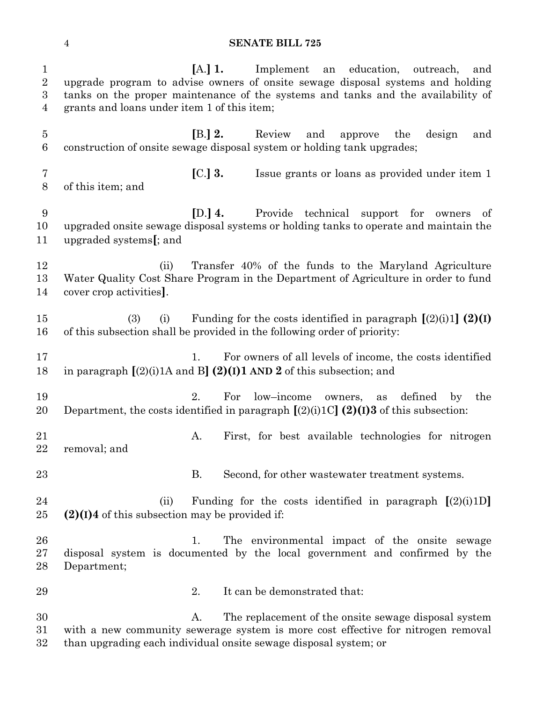**[**A.**] 1.** Implement an education, outreach, and upgrade program to advise owners of onsite sewage disposal systems and holding tanks on the proper maintenance of the systems and tanks and the availability of grants and loans under item 1 of this item; **[**B.**] 2.** Review and approve the design and construction of onsite sewage disposal system or holding tank upgrades; **[**C.**] 3.** Issue grants or loans as provided under item 1 of this item; and **[**D.**] 4.** Provide technical support for owners of upgraded onsite sewage disposal systems or holding tanks to operate and maintain the upgraded systems**[**; and (ii) Transfer 40% of the funds to the Maryland Agriculture Water Quality Cost Share Program in the Department of Agriculture in order to fund cover crop activities**]**. (3) (i) Funding for the costs identified in paragraph **[**(2)(i)1**] (2)(I)** of this subsection shall be provided in the following order of priority: 1. For owners of all levels of income, the costs identified in paragraph **[**(2)(i)1A and B**] (2)(I)1 AND 2** of this subsection; and 2. For low–income owners, as defined by the Department, the costs identified in paragraph **[**(2)(i)1C**] (2)(I)3** of this subsection: A. First, for best available technologies for nitrogen removal; and B. Second, for other wastewater treatment systems. (ii) Funding for the costs identified in paragraph **[**(2)(i)1D**] (2)(I)4** of this subsection may be provided if: 26 1. The environmental impact of the onsite sewage disposal system is documented by the local government and confirmed by the Department; 2. It can be demonstrated that: A. The replacement of the onsite sewage disposal system with a new community sewerage system is more cost effective for nitrogen removal than upgrading each individual onsite sewage disposal system; or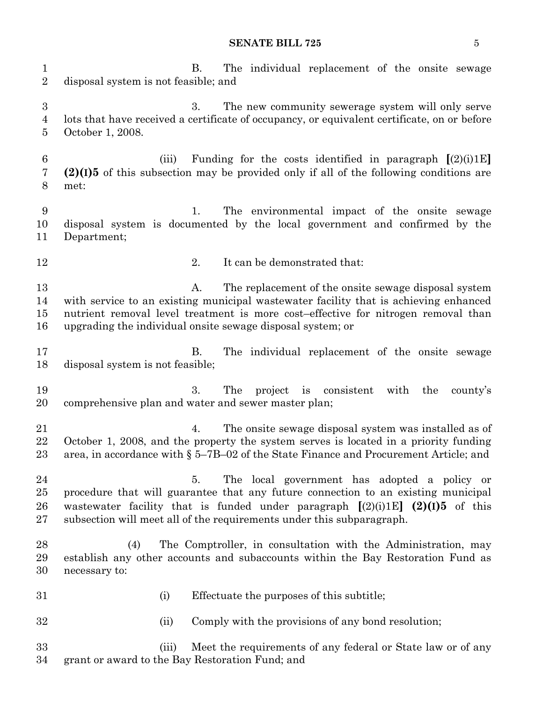#### **SENATE BILL 725** 5

| $\mathbf{1}$<br>$\overline{2}$ | The individual replacement of the onsite sewage<br><b>B.</b><br>disposal system is not feasible; and                                                                                                                                                                                                   |
|--------------------------------|--------------------------------------------------------------------------------------------------------------------------------------------------------------------------------------------------------------------------------------------------------------------------------------------------------|
| $\boldsymbol{3}$<br>4<br>5     | 3.<br>The new community sewerage system will only serve<br>lots that have received a certificate of occupancy, or equivalent certificate, on or before<br>October 1, 2008.                                                                                                                             |
| 6<br>7<br>8                    | (iii)<br>Funding for the costs identified in paragraph $[(2)(i)1E]$<br>$(2)(1)5$ of this subsection may be provided only if all of the following conditions are<br>met:                                                                                                                                |
| $9\,$<br>10<br>11              | The environmental impact of the onsite sewage<br>1.<br>disposal system is documented by the local government and confirmed by the<br>Department;                                                                                                                                                       |
| 12                             | 2.<br>It can be demonstrated that:                                                                                                                                                                                                                                                                     |
| 13<br>14<br>15<br>16           | The replacement of the onsite sewage disposal system<br>A.<br>with service to an existing municipal was tewater facility that is achieving enhanced<br>nutrient removal level treatment is more cost-effective for nitrogen removal than<br>upgrading the individual onsite sewage disposal system; or |
| 17<br>18                       | В.<br>The individual replacement of the onsite sewage<br>disposal system is not feasible;                                                                                                                                                                                                              |
| 19<br>20                       | 3.<br>The<br>project is consistent<br>with<br>the<br>county's<br>comprehensive plan and water and sewer master plan;                                                                                                                                                                                   |
| 21<br>22<br>23                 | The onsite sewage disposal system was installed as of<br>4.<br>October 1, 2008, and the property the system serves is located in a priority funding<br>area, in accordance with $\S$ 5–7B–02 of the State Finance and Procurement Article; and                                                         |
| 24<br>25<br>26<br>27           | The local government has adopted a policy or<br>5.<br>procedure that will guarantee that any future connection to an existing municipal<br>wastewater facility that is funded under paragraph $[(2)(i)1E]$ $(2)(1)5$ of this<br>subsection will meet all of the requirements under this subparagraph.  |
| 28<br>29<br>30                 | The Comptroller, in consultation with the Administration, may<br>(4)<br>establish any other accounts and subaccounts within the Bay Restoration Fund as<br>necessary to:                                                                                                                               |
| 31                             | Effectuate the purposes of this subtitle;<br>(i)                                                                                                                                                                                                                                                       |
| 32                             | Comply with the provisions of any bond resolution;<br>(ii)                                                                                                                                                                                                                                             |
| 33<br>34                       | Meet the requirements of any federal or State law or of any<br>(iii)<br>grant or award to the Bay Restoration Fund; and                                                                                                                                                                                |